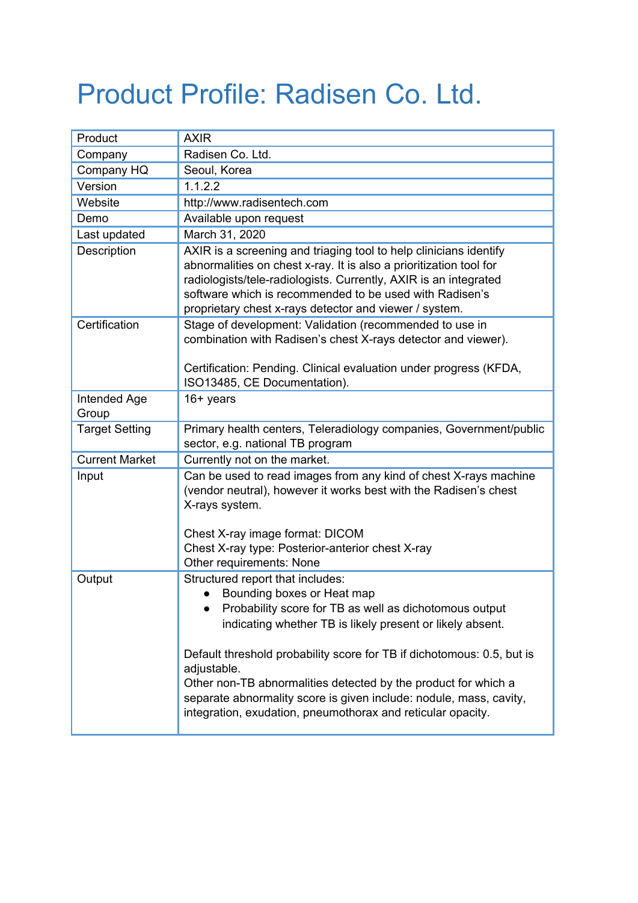## Product Profile: Radisen Co. Ltd.

| Product               | <b>AXIR</b>                                                                                                                                                                                                                                                                                                                                                                                                                                                                           |
|-----------------------|---------------------------------------------------------------------------------------------------------------------------------------------------------------------------------------------------------------------------------------------------------------------------------------------------------------------------------------------------------------------------------------------------------------------------------------------------------------------------------------|
| Company               | Radisen Co. Ltd.                                                                                                                                                                                                                                                                                                                                                                                                                                                                      |
| Company HQ            | Seoul, Korea                                                                                                                                                                                                                                                                                                                                                                                                                                                                          |
| Version               | 1.1.2.2                                                                                                                                                                                                                                                                                                                                                                                                                                                                               |
| Website               | http://www.radisentech.com                                                                                                                                                                                                                                                                                                                                                                                                                                                            |
| Demo                  | Available upon request                                                                                                                                                                                                                                                                                                                                                                                                                                                                |
| Last updated          | March 31, 2020                                                                                                                                                                                                                                                                                                                                                                                                                                                                        |
| Description           | AXIR is a screening and triaging tool to help clinicians identify<br>abnormalities on chest x-ray. It is also a prioritization tool for<br>radiologists/tele-radiologists. Currently, AXIR is an integrated<br>software which is recommended to be used with Radisen's<br>proprietary chest x-rays detector and viewer / system.                                                                                                                                                      |
| Certification         | Stage of development: Validation (recommended to use in<br>combination with Radisen's chest X-rays detector and viewer).<br>Certification: Pending. Clinical evaluation under progress (KFDA,<br>ISO13485, CE Documentation).                                                                                                                                                                                                                                                         |
| Intended Age<br>Group | $16+$ years                                                                                                                                                                                                                                                                                                                                                                                                                                                                           |
| <b>Target Setting</b> | Primary health centers, Teleradiology companies, Government/public<br>sector, e.g. national TB program                                                                                                                                                                                                                                                                                                                                                                                |
| <b>Current Market</b> | Currently not on the market.                                                                                                                                                                                                                                                                                                                                                                                                                                                          |
| Input                 | Can be used to read images from any kind of chest X-rays machine<br>(vendor neutral), however it works best with the Radisen's chest<br>X-rays system.<br>Chest X-ray image format: DICOM<br>Chest X-ray type: Posterior-anterior chest X-ray<br>Other requirements: None                                                                                                                                                                                                             |
| Output                | Structured report that includes:<br>Bounding boxes or Heat map<br>Probability score for TB as well as dichotomous output<br>indicating whether TB is likely present or likely absent.<br>Default threshold probability score for TB if dichotomous: 0.5, but is<br>adjustable.<br>Other non-TB abnormalities detected by the product for which a<br>separate abnormality score is given include: nodule, mass, cavity,<br>integration, exudation, pneumothorax and reticular opacity. |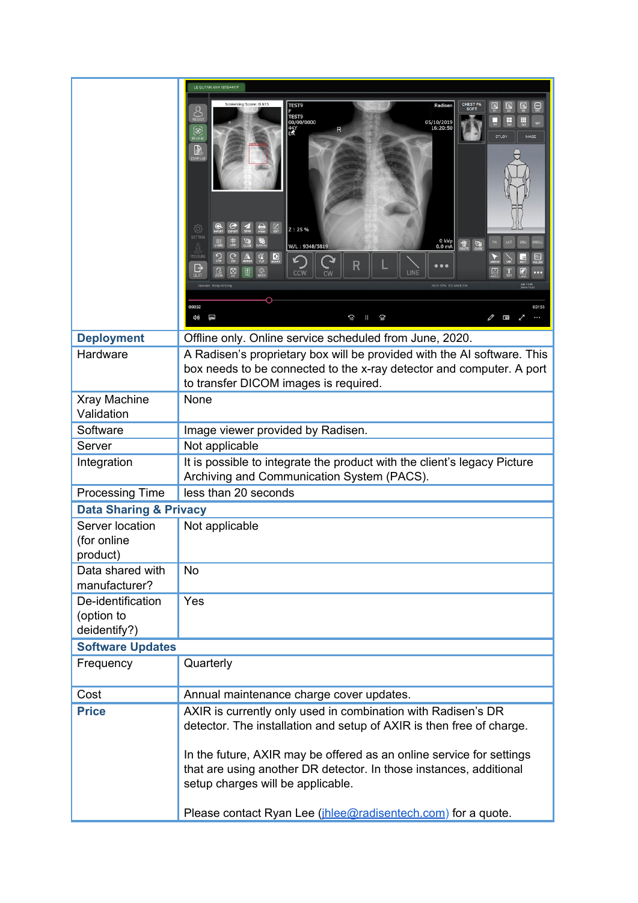|                                            | LE QUYNH ANH 1975/44Y/F                                                                                                                                                                                                                                                                                                                                                                                                                                                                                                                                                                                                                  |  |
|--------------------------------------------|------------------------------------------------------------------------------------------------------------------------------------------------------------------------------------------------------------------------------------------------------------------------------------------------------------------------------------------------------------------------------------------------------------------------------------------------------------------------------------------------------------------------------------------------------------------------------------------------------------------------------------------|--|
|                                            | Screening Score: 0.673<br>CHEST P<br>TEST9<br>Radiser<br>$\sum_{\text{REGST}}$<br>TEST9<br>00/00/0000<br>44Y<br>DK<br>Щ<br>Щ<br>05/10/2019<br>16:20:50<br>R<br><b>O</b><br><b>STUDY</b><br><b>IMAGE</b><br>$\mathbb{B}_{\infty}$<br>භූ<br>Z: 25%<br>SETTING<br>$0 kVp$<br>$0.0 mA$<br>$\omega$<br>$\frac{1}{\alpha}$<br>$\mathbb{Z}$<br>W/L: 9348/5819<br>Å<br>్ష<br>$\frac{1}{R}$<br>POSTURE<br>$\boxed{\mathbf{0}}$<br>◮<br>R<br>₿<br>$\bigoplus$<br>$rac{1}{2}$<br><u>[d</u><br>⊠<br>Ø<br>CCW<br>LINE<br>CW<br>QUIT<br>AM 11:43<br>2019-11-27<br>HDD: 60% EX SAVE ON<br>Operator: Hong Gil Dor<br>0:00:32<br>0:01:55<br>(小<br>D<br>᠊ᢛ |  |
|                                            |                                                                                                                                                                                                                                                                                                                                                                                                                                                                                                                                                                                                                                          |  |
| <b>Deployment</b>                          | Offline only. Online service scheduled from June, 2020.                                                                                                                                                                                                                                                                                                                                                                                                                                                                                                                                                                                  |  |
| Hardware                                   | A Radisen's proprietary box will be provided with the AI software. This<br>box needs to be connected to the x-ray detector and computer. A port<br>to transfer DICOM images is required.                                                                                                                                                                                                                                                                                                                                                                                                                                                 |  |
| Xray Machine                               | None                                                                                                                                                                                                                                                                                                                                                                                                                                                                                                                                                                                                                                     |  |
| Validation                                 |                                                                                                                                                                                                                                                                                                                                                                                                                                                                                                                                                                                                                                          |  |
| Software                                   | Image viewer provided by Radisen.                                                                                                                                                                                                                                                                                                                                                                                                                                                                                                                                                                                                        |  |
| Server                                     | Not applicable                                                                                                                                                                                                                                                                                                                                                                                                                                                                                                                                                                                                                           |  |
| Integration                                | It is possible to integrate the product with the client's legacy Picture<br>Archiving and Communication System (PACS).                                                                                                                                                                                                                                                                                                                                                                                                                                                                                                                   |  |
| <b>Processing Time</b>                     | less than 20 seconds                                                                                                                                                                                                                                                                                                                                                                                                                                                                                                                                                                                                                     |  |
| <b>Data Sharing &amp; Privacy</b>          |                                                                                                                                                                                                                                                                                                                                                                                                                                                                                                                                                                                                                                          |  |
| Server location<br>(for online<br>product) | Not applicable                                                                                                                                                                                                                                                                                                                                                                                                                                                                                                                                                                                                                           |  |
| Data shared with<br>manufacturer?          | <b>No</b>                                                                                                                                                                                                                                                                                                                                                                                                                                                                                                                                                                                                                                |  |
| De-identification<br>(option to            | Yes                                                                                                                                                                                                                                                                                                                                                                                                                                                                                                                                                                                                                                      |  |
| deidentify?)                               |                                                                                                                                                                                                                                                                                                                                                                                                                                                                                                                                                                                                                                          |  |
| <b>Software Updates</b><br>Frequency       | Quarterly                                                                                                                                                                                                                                                                                                                                                                                                                                                                                                                                                                                                                                |  |
|                                            |                                                                                                                                                                                                                                                                                                                                                                                                                                                                                                                                                                                                                                          |  |
| Cost                                       | Annual maintenance charge cover updates.                                                                                                                                                                                                                                                                                                                                                                                                                                                                                                                                                                                                 |  |
| <b>Price</b>                               | AXIR is currently only used in combination with Radisen's DR<br>detector. The installation and setup of AXIR is then free of charge.                                                                                                                                                                                                                                                                                                                                                                                                                                                                                                     |  |
|                                            | In the future, AXIR may be offered as an online service for settings<br>that are using another DR detector. In those instances, additional<br>setup charges will be applicable.                                                                                                                                                                                                                                                                                                                                                                                                                                                          |  |
|                                            | Please contact Ryan Lee ( <i>jhlee@radisentech.com</i> ) for a quote.                                                                                                                                                                                                                                                                                                                                                                                                                                                                                                                                                                    |  |